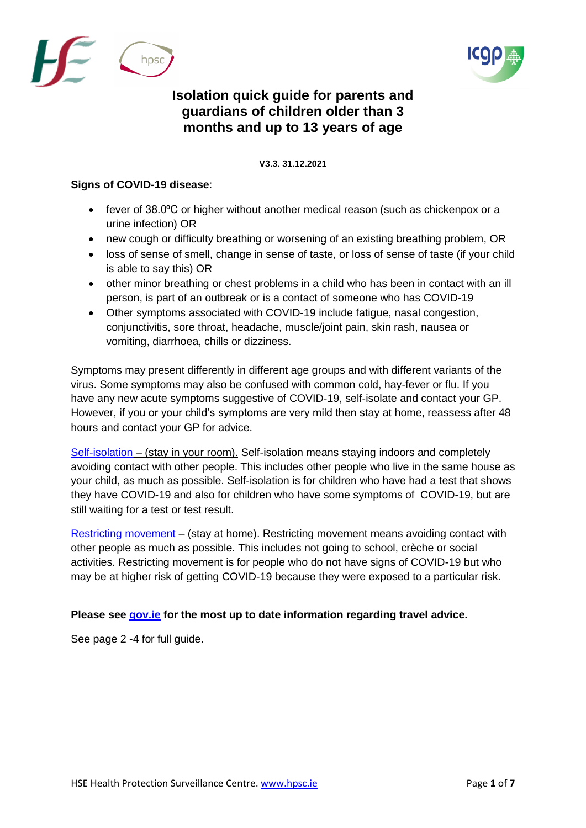



## **Isolation quick guide for parents and guardians of children older than 3 months and up to 13 years of age**

V **V3.3. 31.12.2021**

## **Signs of COVID-19 disease**:

- fever of 38.0°C or higher without another medical reason (such as chickenpox or a urine infection) OR
- new cough or difficulty breathing or worsening of an existing breathing problem, OR
- loss of sense of smell, change in sense of taste, or loss of sense of taste (if your child is able to say this) OR
- other minor breathing or chest problems in a child who has been in contact with an ill person, is part of an outbreak or is a contact of someone who has COVID-19
- Other symptoms associated with COVID-19 include fatigue, nasal congestion, conjunctivitis, sore throat, headache, muscle/joint pain, skin rash, nausea or vomiting, diarrhoea, chills or dizziness.

Symptoms may present differently in different age groups and with different variants of the virus. Some symptoms may also be confused with common cold, hay-fever or flu. If you have any new acute symptoms suggestive of COVID-19, self-isolate and contact your GP. However, if you or your child's symptoms are very mild then stay at home, reassess after 48 hours and contact your GP for advice.

[Self-isolation](https://www2.hse.ie/conditions/coronavirus/managing-coronavirus-at-home/self-isolation.html) – (stay in your room). Self-isolation means staying indoors and completely avoiding contact with other people. This includes other people who live in the same house as your child, as much as possible. Self-isolation is for children who have had a test that shows they have COVID-19 and also for children who have some symptoms of COVID-19, but are still waiting for a test or test result.

[Restricting movement](https://www2.hse.ie/conditions/coronavirus/managing-coronavirus-at-home/if-you-live-with-someone-who-has-coronavirus.html) – (stay at home). Restricting movement means avoiding contact with other people as much as possible. This includes not going to school, crèche or social activities. Restricting movement is for people who do not have signs of COVID-19 but who may be at higher risk of getting COVID-19 because they were exposed to a particular risk.

## **Please see [gov.ie](https://www.gov.ie/en/publication/77952-government-advice-on-international-travel/#travelling-to-ireland) for the most up to date information regarding travel advice.**

See page 2 -4 for full guide.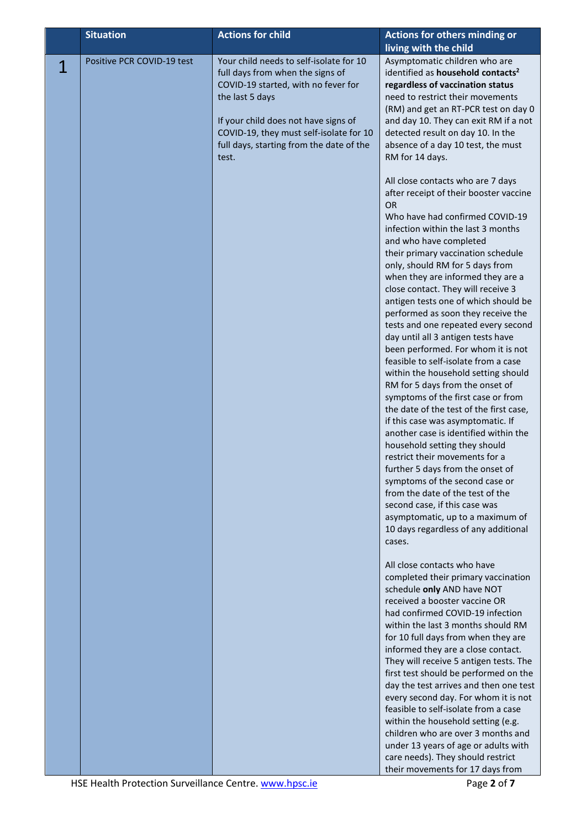|   | <b>Situation</b>           | <b>Actions for child</b>                                                                                                                                                                                                                                                      | Actions for others minding or                                                                                                                                                                                                                                                                                                                                                                                                                                                                                                                                                                                                                                                                                                                                                                                                                                                                                                                                                                        |
|---|----------------------------|-------------------------------------------------------------------------------------------------------------------------------------------------------------------------------------------------------------------------------------------------------------------------------|------------------------------------------------------------------------------------------------------------------------------------------------------------------------------------------------------------------------------------------------------------------------------------------------------------------------------------------------------------------------------------------------------------------------------------------------------------------------------------------------------------------------------------------------------------------------------------------------------------------------------------------------------------------------------------------------------------------------------------------------------------------------------------------------------------------------------------------------------------------------------------------------------------------------------------------------------------------------------------------------------|
| 1 | Positive PCR COVID-19 test | Your child needs to self-isolate for 10<br>full days from when the signs of<br>COVID-19 started, with no fever for<br>the last 5 days<br>If your child does not have signs of<br>COVID-19, they must self-isolate for 10<br>full days, starting from the date of the<br>test. | living with the child<br>Asymptomatic children who are<br>identified as household contacts <sup>2</sup><br>regardless of vaccination status<br>need to restrict their movements<br>(RM) and get an RT-PCR test on day 0<br>and day 10. They can exit RM if a not<br>detected result on day 10. In the<br>absence of a day 10 test, the must<br>RM for 14 days.<br>All close contacts who are 7 days<br>after receipt of their booster vaccine                                                                                                                                                                                                                                                                                                                                                                                                                                                                                                                                                        |
|   |                            |                                                                                                                                                                                                                                                                               | <b>OR</b><br>Who have had confirmed COVID-19<br>infection within the last 3 months<br>and who have completed<br>their primary vaccination schedule<br>only, should RM for 5 days from<br>when they are informed they are a<br>close contact. They will receive 3<br>antigen tests one of which should be<br>performed as soon they receive the<br>tests and one repeated every second<br>day until all 3 antigen tests have<br>been performed. For whom it is not<br>feasible to self-isolate from a case<br>within the household setting should<br>RM for 5 days from the onset of<br>symptoms of the first case or from<br>the date of the test of the first case,<br>if this case was asymptomatic. If<br>another case is identified within the<br>household setting they should<br>restrict their movements for a<br>further 5 days from the onset of<br>symptoms of the second case or<br>from the date of the test of the<br>second case, if this case was<br>asymptomatic, up to a maximum of |
|   |                            |                                                                                                                                                                                                                                                                               | 10 days regardless of any additional<br>cases.<br>All close contacts who have<br>completed their primary vaccination<br>schedule only AND have NOT<br>received a booster vaccine OR<br>had confirmed COVID-19 infection<br>within the last 3 months should RM<br>for 10 full days from when they are<br>informed they are a close contact.<br>They will receive 5 antigen tests. The<br>first test should be performed on the<br>day the test arrives and then one test<br>every second day. For whom it is not<br>feasible to self-isolate from a case<br>within the household setting (e.g.<br>children who are over 3 months and<br>under 13 years of age or adults with<br>care needs). They should restrict<br>their movements for 17 days from                                                                                                                                                                                                                                                 |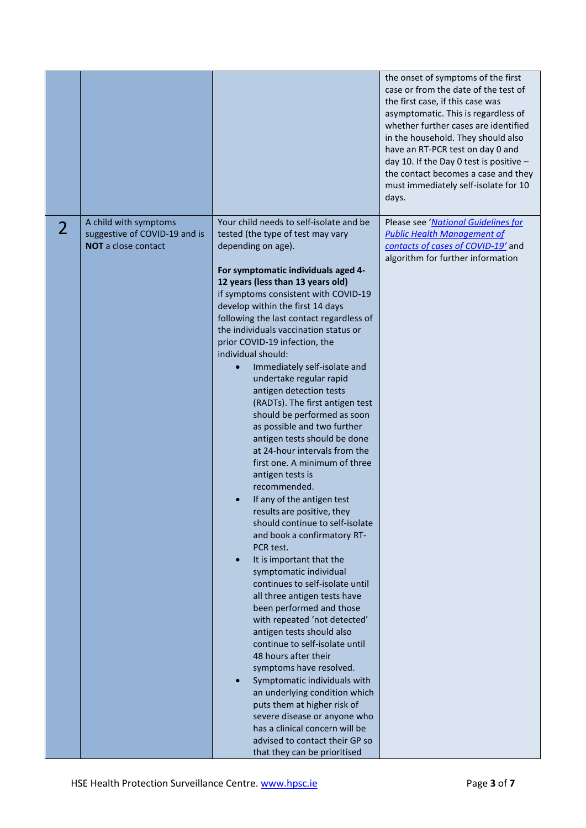|                |                                                                                      |                                                                                                                                                                                                                                                                                                                                                                                                                                                                                                                                                                                                                                                                                                                                                                                                                                                                                                                                                                                                                                                                                                                                                                                                                                                                                                                                                                                                                                        | the onset of symptoms of the first<br>case or from the date of the test of<br>the first case, if this case was<br>asymptomatic. This is regardless of<br>whether further cases are identified<br>in the household. They should also<br>have an RT-PCR test on day 0 and<br>day 10. If the Day 0 test is positive $-$<br>the contact becomes a case and they<br>must immediately self-isolate for 10<br>days. |
|----------------|--------------------------------------------------------------------------------------|----------------------------------------------------------------------------------------------------------------------------------------------------------------------------------------------------------------------------------------------------------------------------------------------------------------------------------------------------------------------------------------------------------------------------------------------------------------------------------------------------------------------------------------------------------------------------------------------------------------------------------------------------------------------------------------------------------------------------------------------------------------------------------------------------------------------------------------------------------------------------------------------------------------------------------------------------------------------------------------------------------------------------------------------------------------------------------------------------------------------------------------------------------------------------------------------------------------------------------------------------------------------------------------------------------------------------------------------------------------------------------------------------------------------------------------|--------------------------------------------------------------------------------------------------------------------------------------------------------------------------------------------------------------------------------------------------------------------------------------------------------------------------------------------------------------------------------------------------------------|
| $\overline{2}$ | A child with symptoms<br>suggestive of COVID-19 and is<br><b>NOT</b> a close contact | Your child needs to self-isolate and be<br>tested (the type of test may vary<br>depending on age).<br>For symptomatic individuals aged 4-<br>12 years (less than 13 years old)<br>if symptoms consistent with COVID-19<br>develop within the first 14 days<br>following the last contact regardless of<br>the individuals vaccination status or<br>prior COVID-19 infection, the<br>individual should:<br>Immediately self-isolate and<br>undertake regular rapid<br>antigen detection tests<br>(RADTs). The first antigen test<br>should be performed as soon<br>as possible and two further<br>antigen tests should be done<br>at 24-hour intervals from the<br>first one. A minimum of three<br>antigen tests is<br>recommended.<br>If any of the antigen test<br>results are positive, they<br>should continue to self-isolate<br>and book a confirmatory RT-<br>PCR test.<br>It is important that the<br>$\bullet$<br>symptomatic individual<br>continues to self-isolate until<br>all three antigen tests have<br>been performed and those<br>with repeated 'not detected'<br>antigen tests should also<br>continue to self-isolate until<br>48 hours after their<br>symptoms have resolved.<br>Symptomatic individuals with<br>an underlying condition which<br>puts them at higher risk of<br>severe disease or anyone who<br>has a clinical concern will be<br>advised to contact their GP so<br>that they can be prioritised | Please see 'National Guidelines for<br><b>Public Health Management of</b><br>contacts of cases of COVID-19' and<br>algorithm for further information                                                                                                                                                                                                                                                         |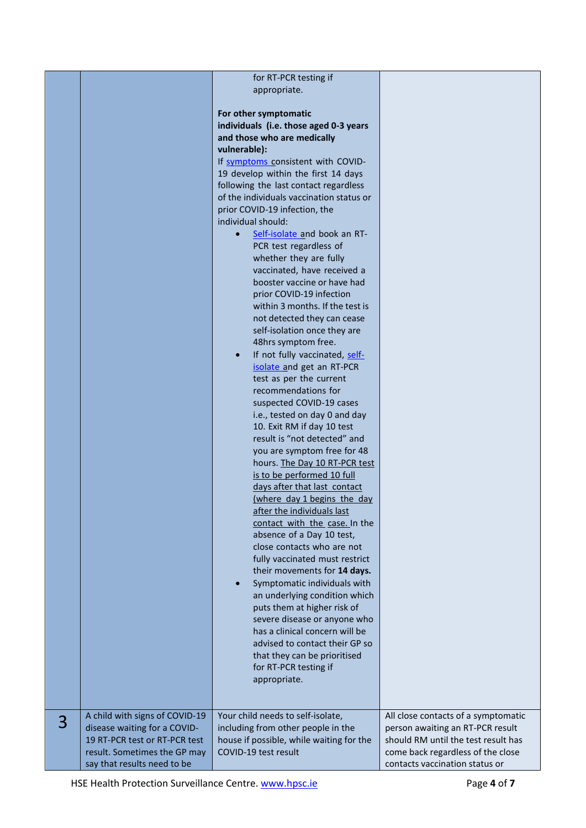|   |                                                                | for RT-PCR testing if                                                    |                                                                         |
|---|----------------------------------------------------------------|--------------------------------------------------------------------------|-------------------------------------------------------------------------|
|   |                                                                | appropriate.                                                             |                                                                         |
|   |                                                                |                                                                          |                                                                         |
|   |                                                                | For other symptomatic                                                    |                                                                         |
|   |                                                                | individuals (i.e. those aged 0-3 years                                   |                                                                         |
|   |                                                                | and those who are medically                                              |                                                                         |
|   |                                                                | vulnerable):                                                             |                                                                         |
|   |                                                                | If symptoms consistent with COVID-                                       |                                                                         |
|   |                                                                | 19 develop within the first 14 days                                      |                                                                         |
|   |                                                                | following the last contact regardless                                    |                                                                         |
|   |                                                                | of the individuals vaccination status or                                 |                                                                         |
|   |                                                                | prior COVID-19 infection, the<br>individual should:                      |                                                                         |
|   |                                                                | Self-isolate and book an RT-                                             |                                                                         |
|   |                                                                | PCR test regardless of                                                   |                                                                         |
|   |                                                                | whether they are fully                                                   |                                                                         |
|   |                                                                | vaccinated, have received a                                              |                                                                         |
|   |                                                                | booster vaccine or have had                                              |                                                                         |
|   |                                                                | prior COVID-19 infection                                                 |                                                                         |
|   |                                                                | within 3 months. If the test is                                          |                                                                         |
|   |                                                                | not detected they can cease                                              |                                                                         |
|   |                                                                | self-isolation once they are                                             |                                                                         |
|   |                                                                | 48hrs symptom free.                                                      |                                                                         |
|   |                                                                | If not fully vaccinated, self-<br>$\bullet$<br>isolate and get an RT-PCR |                                                                         |
|   |                                                                | test as per the current                                                  |                                                                         |
|   |                                                                | recommendations for                                                      |                                                                         |
|   |                                                                | suspected COVID-19 cases                                                 |                                                                         |
|   |                                                                | i.e., tested on day 0 and day                                            |                                                                         |
|   |                                                                | 10. Exit RM if day 10 test                                               |                                                                         |
|   |                                                                | result is "not detected" and                                             |                                                                         |
|   |                                                                | you are symptom free for 48                                              |                                                                         |
|   |                                                                | hours. The Day 10 RT-PCR test                                            |                                                                         |
|   |                                                                | is to be performed 10 full<br>days after that last contact               |                                                                         |
|   |                                                                | (where day 1 begins the day                                              |                                                                         |
|   |                                                                | after the individuals last                                               |                                                                         |
|   |                                                                | contact with the case. In the                                            |                                                                         |
|   |                                                                | absence of a Day 10 test,                                                |                                                                         |
|   |                                                                | close contacts who are not                                               |                                                                         |
|   |                                                                | fully vaccinated must restrict                                           |                                                                         |
|   |                                                                | their movements for 14 days.                                             |                                                                         |
|   |                                                                | Symptomatic individuals with<br>$\bullet$                                |                                                                         |
|   |                                                                | an underlying condition which<br>puts them at higher risk of             |                                                                         |
|   |                                                                | severe disease or anyone who                                             |                                                                         |
|   |                                                                | has a clinical concern will be                                           |                                                                         |
|   |                                                                | advised to contact their GP so                                           |                                                                         |
|   |                                                                | that they can be prioritised                                             |                                                                         |
|   |                                                                | for RT-PCR testing if                                                    |                                                                         |
|   |                                                                | appropriate.                                                             |                                                                         |
|   |                                                                |                                                                          |                                                                         |
|   |                                                                |                                                                          |                                                                         |
| 3 | A child with signs of COVID-19<br>disease waiting for a COVID- | Your child needs to self-isolate,<br>including from other people in the  | All close contacts of a symptomatic<br>person awaiting an RT-PCR result |
|   | 19 RT-PCR test or RT-PCR test                                  | house if possible, while waiting for the                                 | should RM until the test result has                                     |
|   | result. Sometimes the GP may                                   | COVID-19 test result                                                     | come back regardless of the close                                       |
|   | say that results need to be                                    |                                                                          | contacts vaccination status or                                          |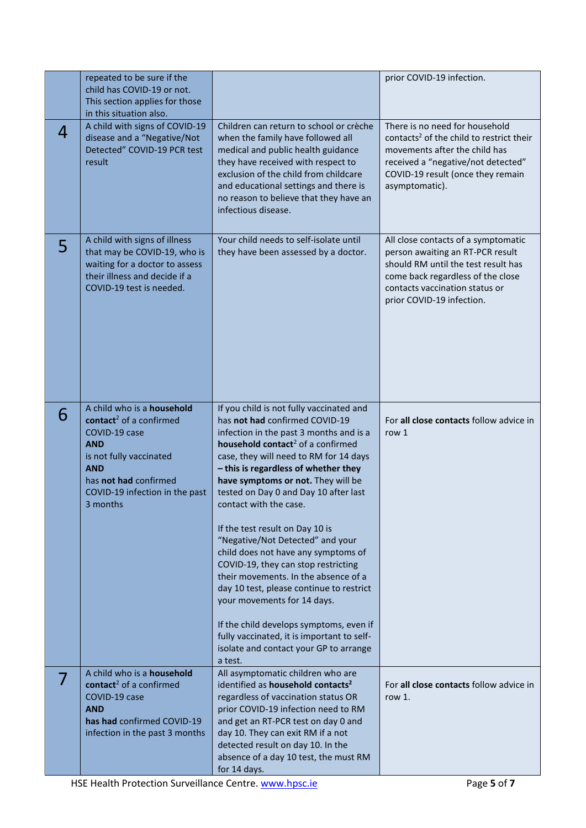|   | repeated to be sure if the<br>child has COVID-19 or not.<br>This section applies for those<br>in this situation also.                                                                                            |                                                                                                                                                                                                                                                                                                                                                                                                                                                                                                                                                                                                                                                                                                                                                                                         | prior COVID-19 infection.                                                                                                                                                                                            |
|---|------------------------------------------------------------------------------------------------------------------------------------------------------------------------------------------------------------------|-----------------------------------------------------------------------------------------------------------------------------------------------------------------------------------------------------------------------------------------------------------------------------------------------------------------------------------------------------------------------------------------------------------------------------------------------------------------------------------------------------------------------------------------------------------------------------------------------------------------------------------------------------------------------------------------------------------------------------------------------------------------------------------------|----------------------------------------------------------------------------------------------------------------------------------------------------------------------------------------------------------------------|
| 4 | A child with signs of COVID-19<br>disease and a "Negative/Not<br>Detected" COVID-19 PCR test<br>result                                                                                                           | Children can return to school or crèche<br>when the family have followed all<br>medical and public health guidance<br>they have received with respect to<br>exclusion of the child from childcare<br>and educational settings and there is<br>no reason to believe that they have an<br>infectious disease.                                                                                                                                                                                                                                                                                                                                                                                                                                                                             | There is no need for household<br>contacts <sup>2</sup> of the child to restrict their<br>movements after the child has<br>received a "negative/not detected"<br>COVID-19 result (once they remain<br>asymptomatic). |
| 5 | A child with signs of illness<br>that may be COVID-19, who is<br>waiting for a doctor to assess<br>their illness and decide if a<br>COVID-19 test is needed.                                                     | Your child needs to self-isolate until<br>they have been assessed by a doctor.                                                                                                                                                                                                                                                                                                                                                                                                                                                                                                                                                                                                                                                                                                          | All close contacts of a symptomatic<br>person awaiting an RT-PCR result<br>should RM until the test result has<br>come back regardless of the close<br>contacts vaccination status or<br>prior COVID-19 infection.   |
| 6 | A child who is a household<br>contact <sup>2</sup> of a confirmed<br>COVID-19 case<br><b>AND</b><br>is not fully vaccinated<br><b>AND</b><br>has not had confirmed<br>COVID-19 infection in the past<br>3 months | If you child is not fully vaccinated and<br>has not had confirmed COVID-19<br>infection in the past 3 months and is a<br>household contact <sup>2</sup> of a confirmed<br>case, they will need to RM for 14 days<br>- this is regardless of whether they<br>have symptoms or not. They will be<br>tested on Day 0 and Day 10 after last<br>contact with the case.<br>If the test result on Day 10 is<br>"Negative/Not Detected" and your<br>child does not have any symptoms of<br>COVID-19, they can stop restricting<br>their movements. In the absence of a<br>day 10 test, please continue to restrict<br>your movements for 14 days.<br>If the child develops symptoms, even if<br>fully vaccinated, it is important to self-<br>isolate and contact your GP to arrange<br>a test. | For all close contacts follow advice in<br>row 1                                                                                                                                                                     |
|   | A child who is a <b>household</b><br>contact <sup>2</sup> of a confirmed<br>COVID-19 case<br><b>AND</b><br>has had confirmed COVID-19<br>infection in the past 3 months                                          | All asymptomatic children who are<br>identified as household contacts <sup>2</sup><br>regardless of vaccination status OR<br>prior COVID-19 infection need to RM<br>and get an RT-PCR test on day 0 and<br>day 10. They can exit RM if a not<br>detected result on day 10. In the<br>absence of a day 10 test, the must RM<br>for 14 days.                                                                                                                                                                                                                                                                                                                                                                                                                                              | For all close contacts follow advice in<br>row 1.                                                                                                                                                                    |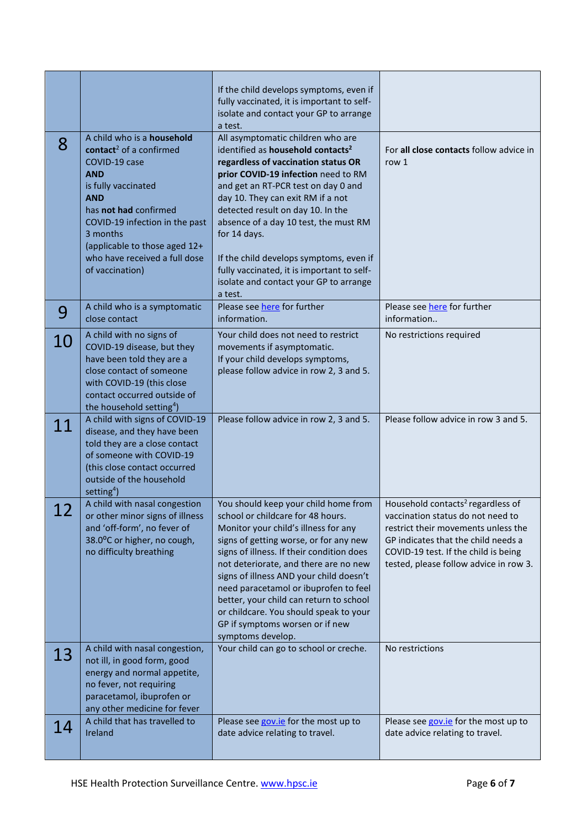|         |                                                                                                                                                                                                                                                                                                   | If the child develops symptoms, even if<br>fully vaccinated, it is important to self-<br>isolate and contact your GP to arrange<br>a test.                                                                                                                                                                                                                                                                                                                                               |                                                                                                                                                                                                                                                    |
|---------|---------------------------------------------------------------------------------------------------------------------------------------------------------------------------------------------------------------------------------------------------------------------------------------------------|------------------------------------------------------------------------------------------------------------------------------------------------------------------------------------------------------------------------------------------------------------------------------------------------------------------------------------------------------------------------------------------------------------------------------------------------------------------------------------------|----------------------------------------------------------------------------------------------------------------------------------------------------------------------------------------------------------------------------------------------------|
| 8       | A child who is a household<br>contact <sup>2</sup> of a confirmed<br>COVID-19 case<br><b>AND</b><br>is fully vaccinated<br><b>AND</b><br>has not had confirmed<br>COVID-19 infection in the past<br>3 months<br>(applicable to those aged 12+<br>who have received a full dose<br>of vaccination) | All asymptomatic children who are<br>identified as household contacts <sup>2</sup><br>regardless of vaccination status OR<br>prior COVID-19 infection need to RM<br>and get an RT-PCR test on day 0 and<br>day 10. They can exit RM if a not<br>detected result on day 10. In the<br>absence of a day 10 test, the must RM<br>for 14 days.<br>If the child develops symptoms, even if<br>fully vaccinated, it is important to self-<br>isolate and contact your GP to arrange<br>a test. | For all close contacts follow advice in<br>row 1                                                                                                                                                                                                   |
| 9       | A child who is a symptomatic<br>close contact                                                                                                                                                                                                                                                     | Please see here for further<br>information.                                                                                                                                                                                                                                                                                                                                                                                                                                              | Please see here for further<br>information                                                                                                                                                                                                         |
| 10      | A child with no signs of<br>COVID-19 disease, but they<br>have been told they are a<br>close contact of someone<br>with COVID-19 (this close<br>contact occurred outside of<br>the household setting <sup>4</sup> )                                                                               | Your child does not need to restrict<br>movements if asymptomatic.<br>If your child develops symptoms,<br>please follow advice in row 2, 3 and 5.                                                                                                                                                                                                                                                                                                                                        | No restrictions required                                                                                                                                                                                                                           |
| 11      | A child with signs of COVID-19<br>disease, and they have been<br>told they are a close contact<br>of someone with COVID-19<br>(this close contact occurred<br>outside of the household<br>setting <sup>4</sup> )                                                                                  | Please follow advice in row 2, 3 and 5.                                                                                                                                                                                                                                                                                                                                                                                                                                                  | Please follow advice in row 3 and 5.                                                                                                                                                                                                               |
| ി<br>ᅩᄼ | A child with nasal congestion<br>or other minor signs of illness<br>and 'off-form', no fever of<br>38.0°C or higher, no cough,<br>no difficulty breathing                                                                                                                                         | You should keep your child home from<br>school or childcare for 48 hours.<br>Monitor your child's illness for any<br>signs of getting worse, or for any new<br>signs of illness. If their condition does<br>not deteriorate, and there are no new<br>signs of illness AND your child doesn't<br>need paracetamol or ibuprofen to feel<br>better, your child can return to school<br>or childcare. You should speak to your<br>GP if symptoms worsen or if new<br>symptoms develop.       | Household contacts <sup>2</sup> regardless of<br>vaccination status do not need to<br>restrict their movements unless the<br>GP indicates that the child needs a<br>COVID-19 test. If the child is being<br>tested, please follow advice in row 3. |
| 13      | A child with nasal congestion,<br>not ill, in good form, good<br>energy and normal appetite,<br>no fever, not requiring<br>paracetamol, ibuprofen or<br>any other medicine for fever                                                                                                              | Your child can go to school or creche.                                                                                                                                                                                                                                                                                                                                                                                                                                                   | No restrictions                                                                                                                                                                                                                                    |
| 14      | A child that has travelled to<br>Ireland                                                                                                                                                                                                                                                          | Please see gov.ie for the most up to<br>date advice relating to travel.                                                                                                                                                                                                                                                                                                                                                                                                                  | Please see gov.ie for the most up to<br>date advice relating to travel.                                                                                                                                                                            |